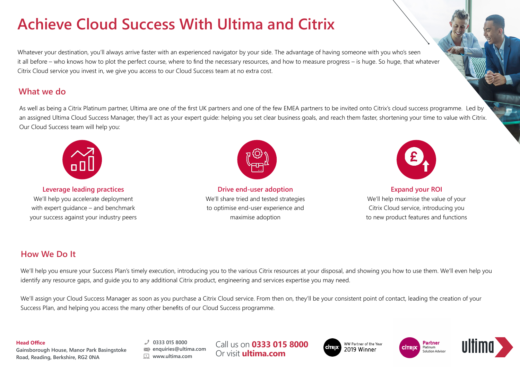# **Achieve Cloud Success With Ultima and Citrix**

Whatever your destination, you'll always arrive faster with an experienced navigator by your side. The advantage of having someone with you who's seen it all before – who knows how to plot the perfect course, where to find the necessary resources, and how to measure progress – is huge. So huge, that whatever Citrix Cloud service you invest in, we give you access to our Cloud Success team at no extra cost.

## **What we do**

As well as being a Citrix Platinum partner, Ultima are one of the first UK partners and one of the few EMEA partners to be invited onto Citrix's cloud success programme. Led by an assigned Ultima Cloud Success Manager, they'll act as your expert quide: helping you set clear business goals, and reach them faster, shortening your time to value with Citrix. Our Cloud Success team will help you:



**Leverage leading practices** We'll help you accelerate deployment with expert guidance – and benchmark your success against your industry peers



**Drive end-user adoption** We'll share tried and tested strategies to optimise end-user experience and maximise adoption



**Expand your ROI** We'll help maximise the value of your Citrix Cloud service, introducing you to new product features and functions

## **How We Do It**

We'll help you ensure your Success Plan's timely execution, introducing you to the various Citrix resources at your disposal, and showing you how to use them. We'll even help you identify any resource gaps, and guide you to any additional Citrix product, engineering and services expertise you may need.

We'll assign your Cloud Success Manager as soon as you purchase a Citrix Cloud service. From then on, they'll be your consistent point of contact, leading the creation of your Success Plan, and helping you access the many other benefits of our Cloud Success programme.

#### **Head Office**

**Gainsborough House, Manor Park Basingstoke Road, Reading, Berkshire, RG2 0NA**

**0333 015 8000 enquiries@ultima.com www.ultima.com**

Call us on **0333 015 8000** Or visit **ultima.com**